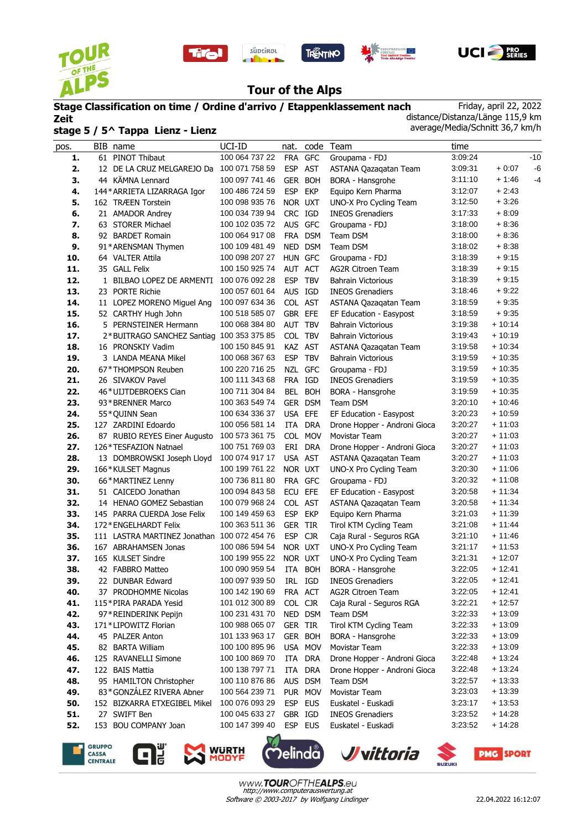

l.









## **Tour of the Alps**

## **Stage Classification on time / Ordine d'arrivo / Etappenklassement nach Zeit stage 5 / 5^ Tappa Lienz - Lienz**

Friday, april 22, 2022 distance/Distanza/Länge 115,9 km average/Media/Schnitt 36,7 km/h

| pos. | BIB name                                    | UCI-ID         | nat.       |            | code Team                     | time    |          |       |
|------|---------------------------------------------|----------------|------------|------------|-------------------------------|---------|----------|-------|
| 1.   | 61 PINOT Thibaut                            | 100 064 737 22 | FRA GFC    |            | Groupama - FDJ                | 3:09:24 |          | $-10$ |
| 2.   | 12 DE LA CRUZ MELGAREJO Da 100 071 758 59   |                | ESP AST    |            | ASTANA Qazaqatan Team         | 3:09:31 | $+0:07$  | -6    |
| 3.   | 44 KÄMNA Lennard                            | 100 097 741 46 | <b>GER</b> | <b>BOH</b> | BORA - Hansgrohe              | 3:11:10 | $+1:46$  | $-4$  |
| 4.   | 144* ARRIETA LIZARRAGA Igor                 | 100 486 724 59 | <b>ESP</b> | <b>EKP</b> | Equipo Kern Pharma            | 3:12:07 | $+2:43$  |       |
| 5.   | 162 TRÆEN Torstein                          | 100 098 935 76 | NOR UXT    |            | UNO-X Pro Cycling Team        | 3:12:50 | $+3:26$  |       |
| 6.   | 21 AMADOR Andrey                            | 100 034 739 94 | CRC IGD    |            | <b>INEOS Grenadiers</b>       | 3:17:33 | $+8:09$  |       |
| 7.   | 63 STORER Michael                           | 100 102 035 72 | AUS GFC    |            | Groupama - FDJ                | 3:18:00 | $+8:36$  |       |
| 8.   | 92 BARDET Romain                            | 100 064 917 08 |            | FRA DSM    | Team DSM                      | 3:18:00 | $+8:36$  |       |
| 9.   | 91*ARENSMAN Thymen                          | 100 109 481 49 | NED DSM    |            | Team DSM                      | 3:18:02 | $+8:38$  |       |
| 10.  | 64 VALTER Attila                            | 100 098 207 27 | HUN GFC    |            | Groupama - FDJ                | 3:18:39 | $+9:15$  |       |
| 11.  | 35 GALL Felix                               | 100 150 925 74 | AUT ACT    |            | <b>AG2R Citroen Team</b>      | 3:18:39 | $+9:15$  |       |
| 12.  | 1 BILBAO LOPEZ DE ARMENTI                   | 100 076 092 28 | <b>ESP</b> | <b>TBV</b> | <b>Bahrain Victorious</b>     | 3:18:39 | $+9:15$  |       |
| 13.  | 23 PORTE Richie                             | 100 057 601 64 | AUS IGD    |            | <b>INEOS Grenadiers</b>       | 3:18:46 | $+9:22$  |       |
| 14.  | 11 LOPEZ MORENO Miguel Ang                  | 100 097 634 36 | COL AST    |            | ASTANA Qazagatan Team         | 3:18:59 | $+9:35$  |       |
| 15.  | 52 CARTHY Hugh John                         | 100 518 585 07 | GBR EFE    |            | EF Education - Easypost       | 3:18:59 | + 9:35   |       |
| 16.  | 5 PERNSTEINER Hermann                       | 100 068 384 80 | AUT        | <b>TBV</b> | <b>Bahrain Victorious</b>     | 3:19:38 | $+10:14$ |       |
| 17.  | 2*BUITRAGO SANCHEZ Santiag 100 353 375 85   |                | COL TBV    |            | <b>Bahrain Victorious</b>     | 3:19:43 | + 10:19  |       |
| 18.  | 16 PRONSKIY Vadim                           | 100 150 845 91 | KAZ AST    |            | ASTANA Qazaqatan Team         | 3:19:58 | $+10:34$ |       |
| 19.  | 3 LANDA MEANA Mikel                         | 100 068 367 63 | <b>ESP</b> | <b>TBV</b> | <b>Bahrain Victorious</b>     | 3:19:59 | $+10:35$ |       |
| 20.  | 67*THOMPSON Reuben                          | 100 220 716 25 | <b>NZL</b> | <b>GFC</b> | Groupama - FDJ                | 3:19:59 | $+10:35$ |       |
| 21.  | 26 SIVAKOV Pavel                            | 100 111 343 68 | FRA IGD    |            | <b>INEOS Grenadiers</b>       | 3:19:59 | $+10:35$ |       |
| 22.  | 46*UIJTDEBROEKS Cian                        | 100 711 304 84 |            | BEL BOH    | BORA - Hansgrohe              | 3:19:59 | $+10:35$ |       |
| 23.  | 93*BRENNER Marco                            | 100 363 549 74 |            | GER DSM    | Team DSM                      | 3:20:10 | + 10:46  |       |
| 24.  | 55*QUINN Sean                               | 100 634 336 37 | USA EFE    |            | EF Education - Easypost       | 3:20:23 | + 10:59  |       |
| 25.  | 127 ZARDINI Edoardo                         | 100 056 581 14 | <b>ITA</b> | <b>DRA</b> | Drone Hopper - Androni Gioca  | 3:20:27 | $+11:03$ |       |
| 26.  | 87 RUBIO REYES Einer Augusto                | 100 573 361 75 |            | COL MOV    | Movistar Team                 | 3:20:27 | $+11:03$ |       |
| 27.  | 126*TESFAZION Natnael                       | 100 751 769 03 | ERI        | DRA        | Drone Hopper - Androni Gioca  | 3:20:27 | $+11:03$ |       |
| 28.  | 13 DOMBROWSKI Joseph Lloyd                  | 100 074 917 17 | USA AST    |            | ASTANA Qazaqatan Team         | 3:20:27 | $+11:03$ |       |
| 29.  | 166*KULSET Magnus                           | 100 199 761 22 | NOR UXT    |            | UNO-X Pro Cycling Team        | 3:20:30 | + 11:06  |       |
| 30.  | 66*MARTINEZ Lenny                           | 100 736 811 80 | FRA GFC    |            | Groupama - FDJ                | 3:20:32 | $+11:08$ |       |
| 31.  | 51 CAICEDO Jonathan                         | 100 094 843 58 | <b>ECU</b> | EFE        | EF Education - Easypost       | 3:20:58 | $+11:34$ |       |
| 32.  | 14 HENAO GOMEZ Sebastian                    | 100 079 968 24 | COL AST    |            | ASTANA Qazaqatan Team         | 3:20:58 | + 11:34  |       |
| 33.  | 145 PARRA CUERDA Jose Felix                 | 100 149 459 63 | <b>ESP</b> | <b>EKP</b> | Equipo Kern Pharma            | 3:21:03 | $+11:39$ |       |
| 34.  | 172*ENGELHARDT Felix                        | 100 363 511 36 | GER        | <b>TIR</b> | Tirol KTM Cycling Team        | 3:21:08 | + 11:44  |       |
| 35.  | 111 LASTRA MARTINEZ Jonathan 100 072 454 76 |                | <b>ESP</b> | <b>CJR</b> | Caja Rural - Seguros RGA      | 3:21:10 | + 11:46  |       |
| 36.  | 167 ABRAHAMSEN Jonas                        | 100 086 594 54 | NOR UXT    |            | <b>UNO-X Pro Cycling Team</b> | 3:21:17 | $+11:53$ |       |
| 37.  | 165 KULSET Sindre                           | 100 199 955 22 | NOR UXT    |            | UNO-X Pro Cycling Team        | 3:21:31 | $+12:07$ |       |
| 38.  | 42 FABBRO Matteo                            | 100 090 959 54 | ITA        | <b>BOH</b> | <b>BORA - Hansgrohe</b>       | 3:22:05 | $+12:41$ |       |
| 39.  | 22 DUNBAR Edward                            | 100 097 939 50 | IRL        | IGD        | <b>INEOS Grenadiers</b>       | 3:22:05 | $+12:41$ |       |
| 40.  | 37 PRODHOMME Nicolas                        | 100 142 190 69 |            | FRA ACT    | AG2R Citroen Team             | 3:22:05 | $+12:41$ |       |
| 41.  | 115*PIRA PARADA Yesid                       | 101 012 300 89 | COL CJR    |            | Caja Rural - Seguros RGA      | 3:22:21 | $+12:57$ |       |
| 42.  | 97*REINDERINK Pepijn                        | 100 231 431 70 | NED DSM    |            | Team DSM                      | 3:22:33 | $+13:09$ |       |
| 43.  | 171*LIPOWITZ Florian                        | 100 988 065 07 | GER TIR    |            | Tirol KTM Cycling Team        | 3:22:33 | $+13:09$ |       |
| 44.  | 45 PALZER Anton                             | 101 133 963 17 | GER BOH    |            | BORA - Hansgrohe              | 3:22:33 | $+13:09$ |       |
| 45.  | 82 BARTA William                            | 100 100 895 96 |            | USA MOV    | Movistar Team                 | 3:22:33 | $+13:09$ |       |
| 46.  | 125 RAVANELLI Simone                        | 100 100 869 70 | ITA        | <b>DRA</b> | Drone Hopper - Androni Gioca  | 3:22:48 | $+13:24$ |       |
| 47.  | 122 BAIS Mattia                             | 100 138 797 71 |            | ITA DRA    | Drone Hopper - Androni Gioca  | 3:22:48 | $+13:24$ |       |
| 48.  | 95 HAMILTON Christopher                     | 100 110 876 86 |            | AUS DSM    | Team DSM                      | 3:22:57 | $+13:33$ |       |
| 49.  | 83*GONZÁLEZ RIVERA Abner                    | 100 564 239 71 |            | PUR MOV    | Movistar Team                 | 3:23:03 | $+13:39$ |       |
| 50.  | 152 BIZKARRA ETXEGIBEL Mikel                | 100 076 093 29 |            | ESP EUS    | Euskatel - Euskadi            | 3:23:17 | $+13:53$ |       |
| 51.  | 27 SWIFT Ben                                | 100 045 633 27 | GBR IGD    |            | <b>INEOS Grenadiers</b>       | 3:23:52 | + 14:28  |       |
| 52.  | 153 BOU COMPANY Joan                        | 100 147 399 40 | ESP EUS    |            | Euskatel - Euskadi            | 3:23:52 | $+14:28$ |       |
|      |                                             |                |            |            |                               |         |          |       |